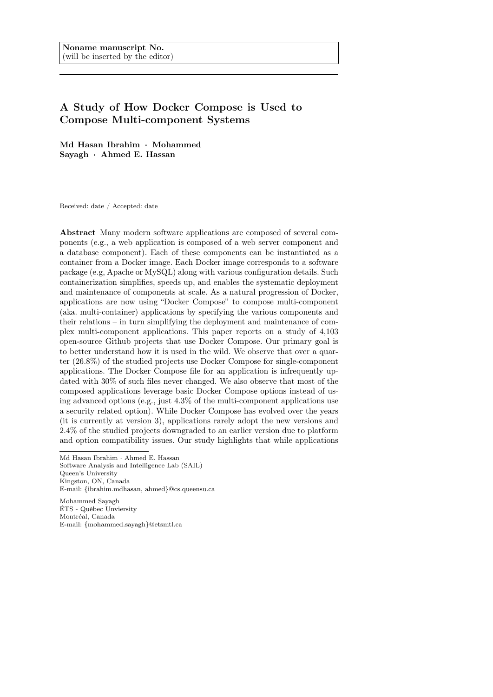# A Study of How Docker Compose is Used to Compose Multi-component Systems

Md Hasan Ibrahim · Mohammed Sayagh · Ahmed E. Hassan

Received: date / Accepted: date

Abstract Many modern software applications are composed of several components (e.g., a web application is composed of a web server component and a database component). Each of these components can be instantiated as a container from a Docker image. Each Docker image corresponds to a software package (e.g, Apache or MySQL) along with various configuration details. Such containerization simplifies, speeds up, and enables the systematic deployment and maintenance of components at scale. As a natural progression of Docker, applications are now using "Docker Compose" to compose multi-component (aka. multi-container) applications by specifying the various components and their relations – in turn simplifying the deployment and maintenance of complex multi-component applications. This paper reports on a study of 4,103 open-source Github projects that use Docker Compose. Our primary goal is to better understand how it is used in the wild. We observe that over a quarter (26.8%) of the studied projects use Docker Compose for single-component applications. The Docker Compose file for an application is infrequently updated with 30% of such files never changed. We also observe that most of the composed applications leverage basic Docker Compose options instead of using advanced options (e.g., just 4.3% of the multi-component applications use a security related option). While Docker Compose has evolved over the years (it is currently at version 3), applications rarely adopt the new versions and 2.4% of the studied projects downgraded to an earlier version due to platform and option compatibility issues. Our study highlights that while applications

Mohammed Sayagh ÉTS - Québec Unviersity Montréal, Canada E-mail: {mohammed.sayagh}@etsmtl.ca

Md Hasan Ibrahim · Ahmed E. Hassan Software Analysis and Intelligence Lab (SAIL) Queen's University Kingston, ON, Canada E-mail: {ibrahim.mdhasan, ahmed}@cs.queensu.ca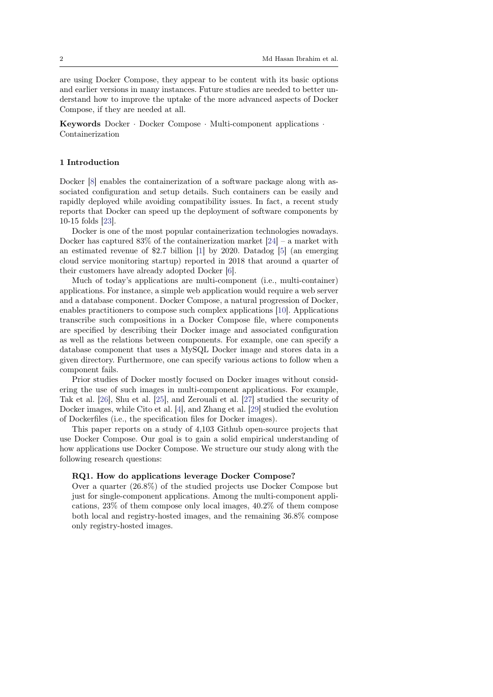are using Docker Compose, they appear to be content with its basic options and earlier versions in many instances. Future studies are needed to better understand how to improve the uptake of the more advanced aspects of Docker Compose, if they are needed at all.

Keywords Docker · Docker Compose · Multi-component applications · Containerization

## 1 Introduction

Docker [\[8\]](#page-29-0) enables the containerization of a software package along with associated configuration and setup details. Such containers can be easily and rapidly deployed while avoiding compatibility issues. In fact, a recent study reports that Docker can speed up the deployment of software components by 10-15 folds [\[23\]](#page-30-0).

Docker is one of the most popular containerization technologies nowadays. Docker has captured  $83\%$  of the containerization market [\[24\]](#page-30-1) – a market with an estimated revenue of \$2.7 billion [\[1\]](#page-28-0) by 2020. Datadog [\[5\]](#page-29-1) (an emerging cloud service monitoring startup) reported in 2018 that around a quarter of their customers have already adopted Docker [\[6\]](#page-29-2).

Much of today's applications are multi-component (i.e., multi-container) applications. For instance, a simple web application would require a web server and a database component. Docker Compose, a natural progression of Docker, enables practitioners to compose such complex applications [\[10\]](#page-29-3). Applications transcribe such compositions in a Docker Compose file, where components are specified by describing their Docker image and associated configuration as well as the relations between components. For example, one can specify a database component that uses a MySQL Docker image and stores data in a given directory. Furthermore, one can specify various actions to follow when a component fails.

Prior studies of Docker mostly focused on Docker images without considering the use of such images in multi-component applications. For example, Tak et al. [\[26\]](#page-30-2), Shu et al. [\[25\]](#page-30-3), and Zerouali et al. [\[27\]](#page-30-4) studied the security of Docker images, while Cito et al. [\[4\]](#page-29-4), and Zhang et al. [\[29\]](#page-30-5) studied the evolution of Dockerfiles (i.e., the specification files for Docker images).

This paper reports on a study of 4,103 Github open-source projects that use Docker Compose. Our goal is to gain a solid empirical understanding of how applications use Docker Compose. We structure our study along with the following research questions:

#### RQ1. How do applications leverage Docker Compose?

Over a quarter (26.8%) of the studied projects use Docker Compose but just for single-component applications. Among the multi-component applications, 23% of them compose only local images, 40.2% of them compose both local and registry-hosted images, and the remaining 36.8% compose only registry-hosted images.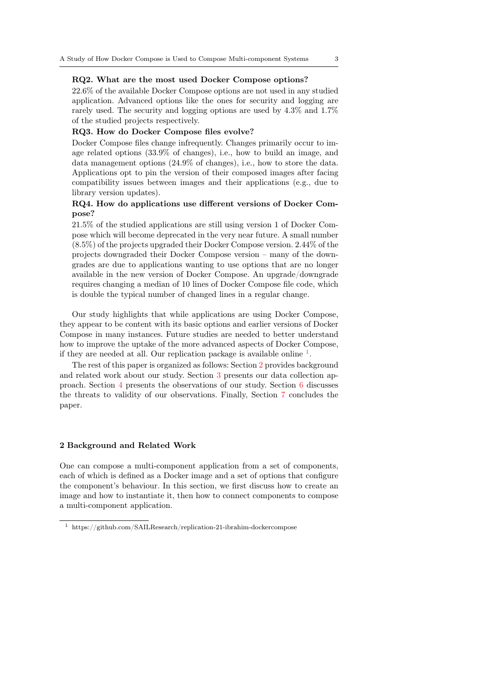## RQ2. What are the most used Docker Compose options?

22.6% of the available Docker Compose options are not used in any studied application. Advanced options like the ones for security and logging are rarely used. The security and logging options are used by 4.3% and 1.7% of the studied projects respectively.

## RQ3. How do Docker Compose files evolve?

Docker Compose files change infrequently. Changes primarily occur to image related options (33.9% of changes), i.e., how to build an image, and data management options (24.9% of changes), i.e., how to store the data. Applications opt to pin the version of their composed images after facing compatibility issues between images and their applications (e.g., due to library version updates).

# RQ4. How do applications use different versions of Docker Compose?

21.5% of the studied applications are still using version 1 of Docker Compose which will become deprecated in the very near future. A small number (8.5%) of the projects upgraded their Docker Compose version. 2.44% of the projects downgraded their Docker Compose version – many of the downgrades are due to applications wanting to use options that are no longer available in the new version of Docker Compose. An upgrade/downgrade requires changing a median of 10 lines of Docker Compose file code, which is double the typical number of changed lines in a regular change.

Our study highlights that while applications are using Docker Compose, they appear to be content with its basic options and earlier versions of Docker Compose in many instances. Future studies are needed to better understand how to improve the uptake of the more advanced aspects of Docker Compose, if they are needed at all. Our replication package is available online  $<sup>1</sup>$  $<sup>1</sup>$  $<sup>1</sup>$ .</sup>

The rest of this paper is organized as follows: Section [2](#page-2-1) provides background and related work about our study. Section [3](#page-4-0) presents our data collection approach. Section [4](#page-5-0) presents the observations of our study. Section [6](#page-27-0) discusses the threats to validity of our observations. Finally, Section [7](#page-28-1) concludes the paper.

#### <span id="page-2-1"></span>2 Background and Related Work

One can compose a multi-component application from a set of components, each of which is defined as a Docker image and a set of options that configure the component's behaviour. In this section, we first discuss how to create an image and how to instantiate it, then how to connect components to compose a multi-component application.

<span id="page-2-0"></span><sup>1</sup> https://github.com/SAILResearch/replication-21-ibrahim-dockercompose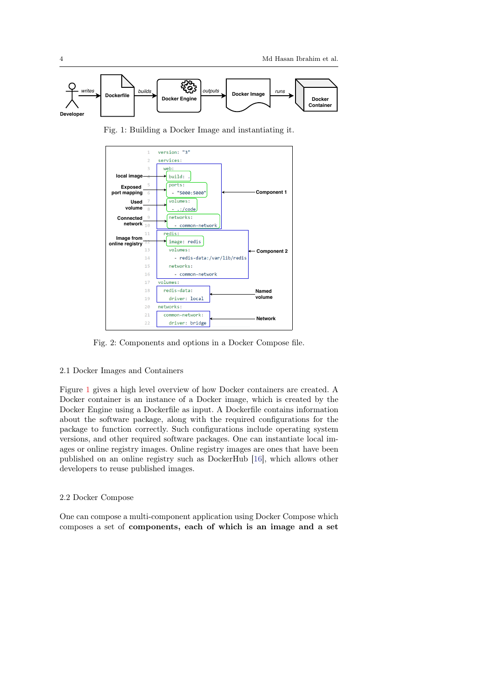<span id="page-3-0"></span>

Fig. 1: Building a Docker Image and instantiating it.

<span id="page-3-1"></span>

Fig. 2: Components and options in a Docker Compose file.

# 2.1 Docker Images and Containers

Figure [1](#page-3-0) gives a high level overview of how Docker containers are created. A Docker container is an instance of a Docker image, which is created by the Docker Engine using a Dockerfile as input. A Dockerfile contains information about the software package, along with the required configurations for the package to function correctly. Such configurations include operating system versions, and other required software packages. One can instantiate local images or online registry images. Online registry images are ones that have been published on an online registry such as DockerHub [\[16\]](#page-29-5), which allows other developers to reuse published images.

## 2.2 Docker Compose

One can compose a multi-component application using Docker Compose which composes a set of components, each of which is an image and a set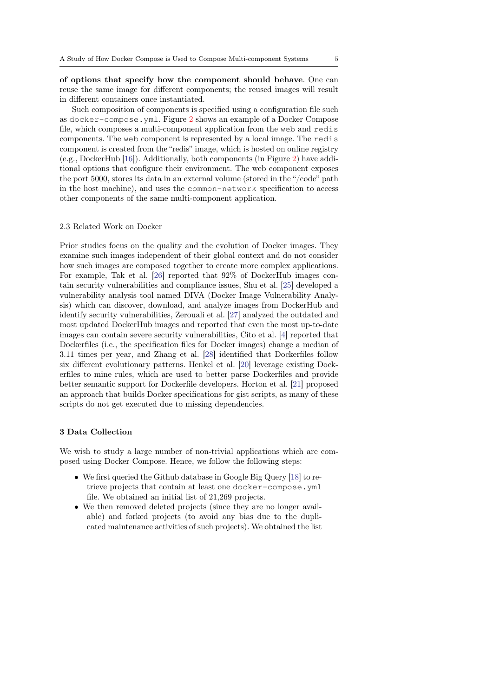of options that specify how the component should behave. One can reuse the same image for different components; the reused images will result in different containers once instantiated.

Such composition of components is specified using a configuration file such as docker-compose.yml. Figure [2](#page-3-1) shows an example of a Docker Compose file, which composes a multi-component application from the web and redis components. The web component is represented by a local image. The redis component is created from the "redis" image, which is hosted on online registry (e.g., DockerHub [\[16\]](#page-29-5)). Additionally, both components (in Figure [2\)](#page-3-1) have additional options that configure their environment. The web component exposes the port 5000, stores its data in an external volume (stored in the "/code" path in the host machine), and uses the common-network specification to access other components of the same multi-component application.

#### 2.3 Related Work on Docker

Prior studies focus on the quality and the evolution of Docker images. They examine such images independent of their global context and do not consider how such images are composed together to create more complex applications. For example, Tak et al. [\[26\]](#page-30-2) reported that 92% of DockerHub images contain security vulnerabilities and compliance issues, Shu et al. [\[25\]](#page-30-3) developed a vulnerability analysis tool named DIVA (Docker Image Vulnerability Analysis) which can discover, download, and analyze images from DockerHub and identify security vulnerabilities, Zerouali et al. [\[27\]](#page-30-4) analyzed the outdated and most updated DockerHub images and reported that even the most up-to-date images can contain severe security vulnerabilities, Cito et al. [\[4\]](#page-29-4) reported that Dockerfiles (i.e., the specification files for Docker images) change a median of 3.11 times per year, and Zhang et al. [\[28\]](#page-30-6) identified that Dockerfiles follow six different evolutionary patterns. Henkel et al. [\[20\]](#page-29-6) leverage existing Dockerfiles to mine rules, which are used to better parse Dockerfiles and provide better semantic support for Dockerfile developers. Horton et al. [\[21\]](#page-30-7) proposed an approach that builds Docker specifications for gist scripts, as many of these scripts do not get executed due to missing dependencies.

# <span id="page-4-0"></span>3 Data Collection

We wish to study a large number of non-trivial applications which are composed using Docker Compose. Hence, we follow the following steps:

- We first queried the Github database in Google Big Query [\[18\]](#page-29-7) to retrieve projects that contain at least one docker-compose.yml file. We obtained an initial list of 21,269 projects.
- We then removed deleted projects (since they are no longer available) and forked projects (to avoid any bias due to the duplicated maintenance activities of such projects). We obtained the list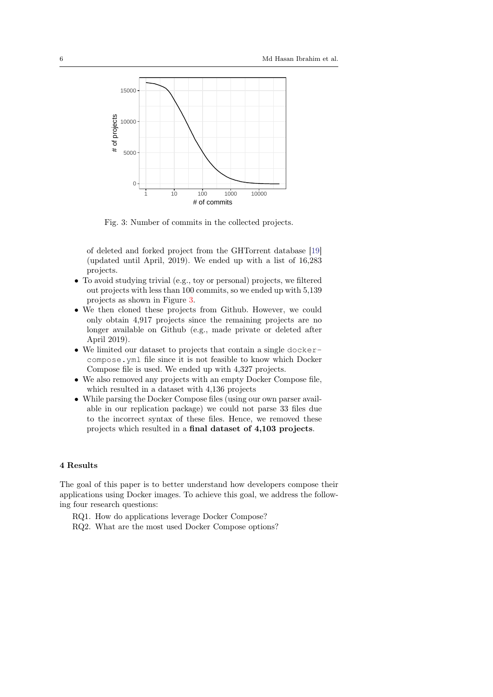<span id="page-5-1"></span>

Fig. 3: Number of commits in the collected projects.

of deleted and forked project from the GHTorrent database [\[19\]](#page-29-8) (updated until April, 2019). We ended up with a list of 16,283 projects.

- To avoid studying trivial (e.g., toy or personal) projects, we filtered out projects with less than 100 commits, so we ended up with 5,139 projects as shown in Figure [3.](#page-5-1)
- We then cloned these projects from Github. However, we could only obtain 4,917 projects since the remaining projects are no longer available on Github (e.g., made private or deleted after April 2019).
- We limited our dataset to projects that contain a single dockercompose.yml file since it is not feasible to know which Docker Compose file is used. We ended up with 4,327 projects.
- We also removed any projects with an empty Docker Compose file, which resulted in a dataset with 4,136 projects
- While parsing the Docker Compose files (using our own parser available in our replication package) we could not parse 33 files due to the incorrect syntax of these files. Hence, we removed these projects which resulted in a final dataset of 4,103 projects.

# <span id="page-5-0"></span>4 Results

The goal of this paper is to better understand how developers compose their applications using Docker images. To achieve this goal, we address the following four research questions:

RQ1. How do applications leverage Docker Compose? RQ2. What are the most used Docker Compose options?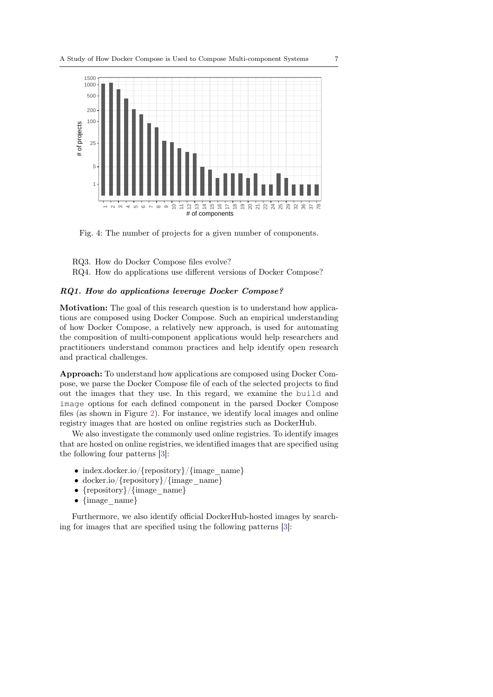<span id="page-6-0"></span>

Fig. 4: The number of projects for a given number of components.

RQ3. How do Docker Compose files evolve?

RQ4. How do applications use different versions of Docker Compose?

# RQ1. How do applications leverage Docker Compose?

Motivation: The goal of this research question is to understand how applications are composed using Docker Compose. Such an empirical understanding of how Docker Compose, a relatively new approach, is used for automating the composition of multi-component applications would help researchers and practitioners understand common practices and help identify open research and practical challenges.

Approach: To understand how applications are composed using Docker Compose, we parse the Docker Compose file of each of the selected projects to find out the images that they use. In this regard, we examine the build and image options for each defined component in the parsed Docker Compose files (as shown in Figure [2\)](#page-3-1). For instance, we identify local images and online registry images that are hosted on online registries such as DockerHub.

We also investigate the commonly used online registries. To identify images that are hosted on online registries, we identified images that are specified using the following four patterns [\[3\]](#page-28-2):

- index.docker.io/{repository}/{image\_name}
- docker.io/{repository}/{image\_name}
- {repository}/{image\_name}
- {image\_name}

Furthermore, we also identify official DockerHub-hosted images by searching for images that are specified using the following patterns [\[3\]](#page-28-2):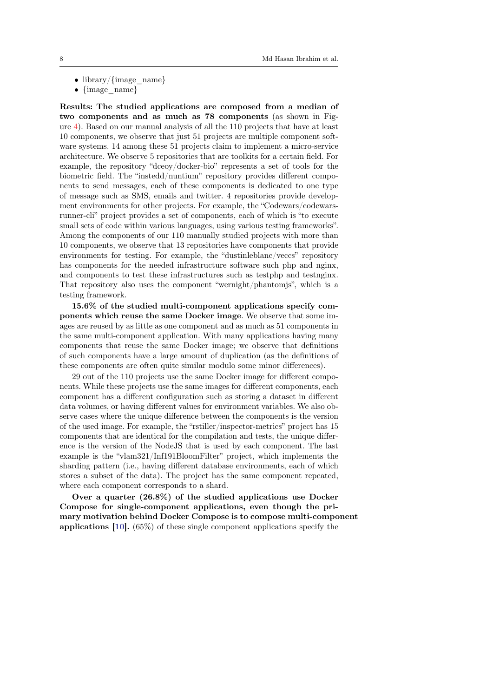- library/ $\{image \text{ name}\}$
- {image name}

Results: The studied applications are composed from a median of two components and as much as 78 components (as shown in Figure [4\)](#page-6-0). Based on our manual analysis of all the 110 projects that have at least 10 components, we observe that just 51 projects are multiple component software systems. 14 among these 51 projects claim to implement a micro-service architecture. We observe 5 repositories that are toolkits for a certain field. For example, the repository "dceoy/docker-bio" represents a set of tools for the biometric field. The "instedd/nuntium" repository provides different components to send messages, each of these components is dedicated to one type of message such as SMS, emails and twitter. 4 repositories provide development environments for other projects. For example, the "Codewars/codewarsrunner-cli" project provides a set of components, each of which is "to execute small sets of code within various languages, using various testing frameworks". Among the components of our 110 manually studied projects with more than 10 components, we observe that 13 repositories have components that provide environments for testing. For example, the "dustinleblanc/veccs" repository has components for the needed infrastructure software such php and nginx, and components to test these infrastructures such as testphp and testnginx. That repository also uses the component "wernight/phantomjs", which is a testing framework.

15.6% of the studied multi-component applications specify components which reuse the same Docker image. We observe that some images are reused by as little as one component and as much as 51 components in the same multi-component application. With many applications having many components that reuse the same Docker image; we observe that definitions of such components have a large amount of duplication (as the definitions of these components are often quite similar modulo some minor differences).

29 out of the 110 projects use the same Docker image for different components. While these projects use the same images for different components, each component has a different configuration such as storing a dataset in different data volumes, or having different values for environment variables. We also observe cases where the unique difference between the components is the version of the used image. For example, the "rstiller/inspector-metrics" project has 15 components that are identical for the compilation and tests, the unique difference is the version of the NodeJS that is used by each component. The last example is the "vlam321/Inf191BloomFilter" project, which implements the sharding pattern (i.e., having different database environments, each of which stores a subset of the data). The project has the same component repeated, where each component corresponds to a shard.

Over a quarter (26.8%) of the studied applications use Docker Compose for single-component applications, even though the primary motivation behind Docker Compose is to compose multi-component applications [\[10\]](#page-29-3). (65%) of these single component applications specify the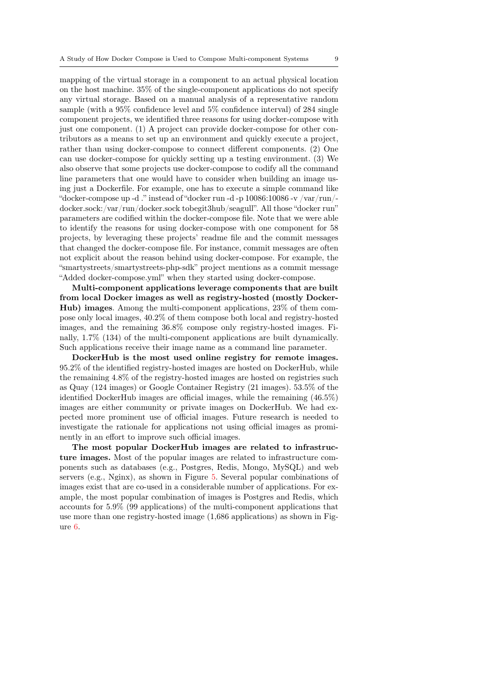mapping of the virtual storage in a component to an actual physical location on the host machine. 35% of the single-component applications do not specify any virtual storage. Based on a manual analysis of a representative random sample (with a 95% confidence level and 5% confidence interval) of 284 single component projects, we identified three reasons for using docker-compose with just one component. (1) A project can provide docker-compose for other contributors as a means to set up an environment and quickly execute a project, rather than using docker-compose to connect different components. (2) One can use docker-compose for quickly setting up a testing environment. (3) We also observe that some projects use docker-compose to codify all the command line parameters that one would have to consider when building an image using just a Dockerfile. For example, one has to execute a simple command like "docker-compose up -d ." instead of "docker run -d -p  $10086:10086$  -v /var/run/docker.sock:/var/run/docker.sock tobegit3hub/seagull". All those "docker run" parameters are codified within the docker-compose file. Note that we were able to identify the reasons for using docker-compose with one component for 58 projects, by leveraging these projects' readme file and the commit messages that changed the docker-compose file. For instance, commit messages are often not explicit about the reason behind using docker-compose. For example, the "smartystreets/smartystreets-php-sdk" project mentions as a commit message "Added docker-compose.yml" when they started using docker-compose.

Multi-component applications leverage components that are built from local Docker images as well as registry-hosted (mostly Docker-Hub) images. Among the multi-component applications, 23% of them compose only local images, 40.2% of them compose both local and registry-hosted images, and the remaining 36.8% compose only registry-hosted images. Finally, 1.7% (134) of the multi-component applications are built dynamically. Such applications receive their image name as a command line parameter.

DockerHub is the most used online registry for remote images. 95.2% of the identified registry-hosted images are hosted on DockerHub, while the remaining 4.8% of the registry-hosted images are hosted on registries such as Quay (124 images) or Google Container Registry (21 images). 53.5% of the identified DockerHub images are official images, while the remaining (46.5%) images are either community or private images on DockerHub. We had expected more prominent use of official images. Future research is needed to investigate the rationale for applications not using official images as prominently in an effort to improve such official images.

The most popular DockerHub images are related to infrastructure images. Most of the popular images are related to infrastructure components such as databases (e.g., Postgres, Redis, Mongo, MySQL) and web servers (e.g., Nginx), as shown in Figure [5.](#page-9-0) Several popular combinations of images exist that are co-used in a considerable number of applications. For example, the most popular combination of images is Postgres and Redis, which accounts for 5.9% (99 applications) of the multi-component applications that use more than one registry-hosted image (1,686 applications) as shown in Figure [6.](#page-9-1)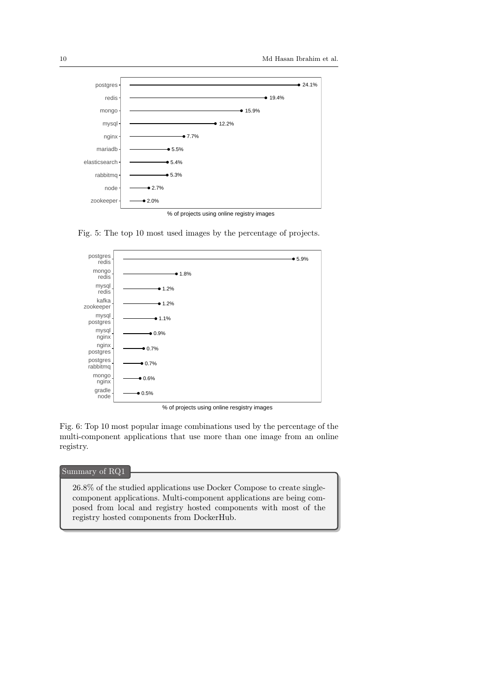<span id="page-9-0"></span>

Fig. 5: The top 10 most used images by the percentage of projects.

<span id="page-9-1"></span>

% of projects using online resgistry images

Fig. 6: Top 10 most popular image combinations used by the percentage of the multi-component applications that use more than one image from an online registry.

# : Summary of RQ1

26.8% of the studied applications use Docker Compose to create singlecomponent applications. Multi-component applications are being composed from local and registry hosted components with most of the registry hosted components from DockerHub.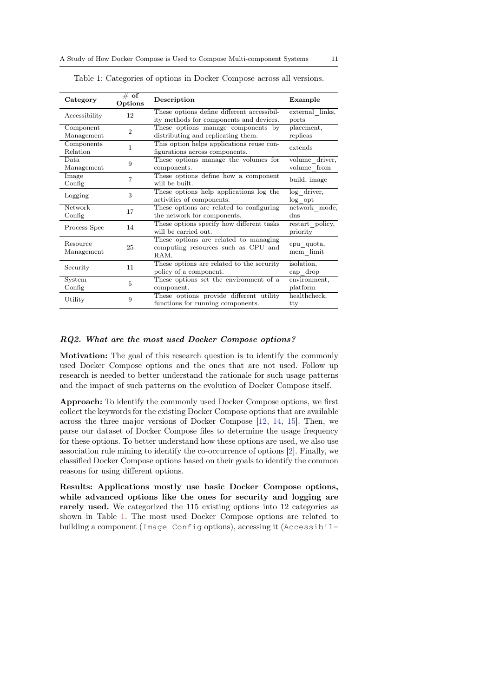| Category       | $\#$ of<br>Options | Description                                | Example         |  |
|----------------|--------------------|--------------------------------------------|-----------------|--|
| Accessibility  | 12                 | These options define different accessibil- | external links, |  |
|                |                    | ity methods for components and devices.    | ports           |  |
| Component      | $\overline{2}$     | These options manage components by         | placement,      |  |
| Management     |                    | distributing and replicating them.         | replicas        |  |
| Components     | 1                  | This option helps applications reuse con-  | extends         |  |
| Relation       |                    | figurations across components.             |                 |  |
| Data.          | 9                  | These options manage the volumes for       | volume driver,  |  |
| Management     |                    | components.                                | volume from     |  |
| Image          | 7                  | These options define how a component       | build, image    |  |
| Config         |                    | will be built.                             |                 |  |
|                | 3                  | These options help applications log the    | log_driver,     |  |
| Logging        |                    | activities of components.                  | log opt         |  |
| <b>Network</b> | 17                 | These options are related to configuring   | network mode,   |  |
| Config         |                    | the network for components.                | dns             |  |
| Process Spec   | 14                 | These options specify how different tasks  | restart policy, |  |
|                |                    | will be carried out.                       | priority        |  |
| Resource       | 25                 | These options are related to managing      |                 |  |
|                |                    | computing resources such as CPU and        | cpu quota,      |  |
| Management     |                    | RAM.                                       | mem limit       |  |
| Security       | 11                 | These options are related to the security  | isolation,      |  |
|                |                    | policy of a component.                     | cap drop        |  |
| System         | $\overline{5}$     | These options set the environment of a     | environment,    |  |
| Config         |                    | component.                                 | platform        |  |
|                | 9                  | These options provide different utility    | healthcheck,    |  |
| Utility        |                    | functions for running components.          | tty             |  |

<span id="page-10-0"></span>Table 1: Categories of options in Docker Compose across all versions.

## RQ2. What are the most used Docker Compose options?

Motivation: The goal of this research question is to identify the commonly used Docker Compose options and the ones that are not used. Follow up research is needed to better understand the rationale for such usage patterns and the impact of such patterns on the evolution of Docker Compose itself.

Approach: To identify the commonly used Docker Compose options, we first collect the keywords for the existing Docker Compose options that are available across the three major versions of Docker Compose [\[12,](#page-29-9) [14,](#page-29-10) [15\]](#page-29-11). Then, we parse our dataset of Docker Compose files to determine the usage frequency for these options. To better understand how these options are used, we also use association rule mining to identify the co-occurrence of options [\[2\]](#page-28-3). Finally, we classified Docker Compose options based on their goals to identify the common reasons for using different options.

Results: Applications mostly use basic Docker Compose options, while advanced options like the ones for security and logging are rarely used. We categorized the 115 existing options into 12 categories as shown in Table [1.](#page-10-0) The most used Docker Compose options are related to building a component (Image Config options), accessing it (Accessibil-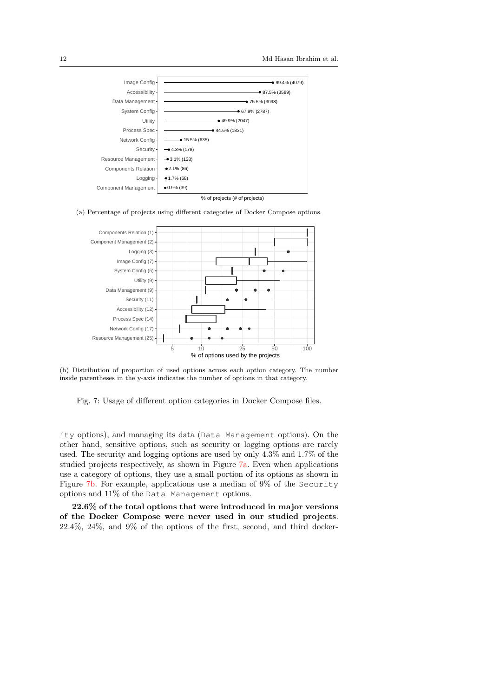<span id="page-11-0"></span>

(a) Percentage of projects using different categories of Docker Compose options.



(b) Distribution of proportion of used options across each option category. The number inside parentheses in the y-axis indicates the number of options in that category.

Fig. 7: Usage of different option categories in Docker Compose files.

ity options), and managing its data (Data Management options). On the other hand, sensitive options, such as security or logging options are rarely used. The security and logging options are used by only 4.3% and 1.7% of the studied projects respectively, as shown in Figure [7a.](#page-11-0) Even when applications use a category of options, they use a small portion of its options as shown in Figure [7b.](#page-11-0) For example, applications use a median of 9% of the Security options and 11% of the Data Management options.

22.6% of the total options that were introduced in major versions of the Docker Compose were never used in our studied projects. 22.4%, 24%, and 9% of the options of the first, second, and third docker-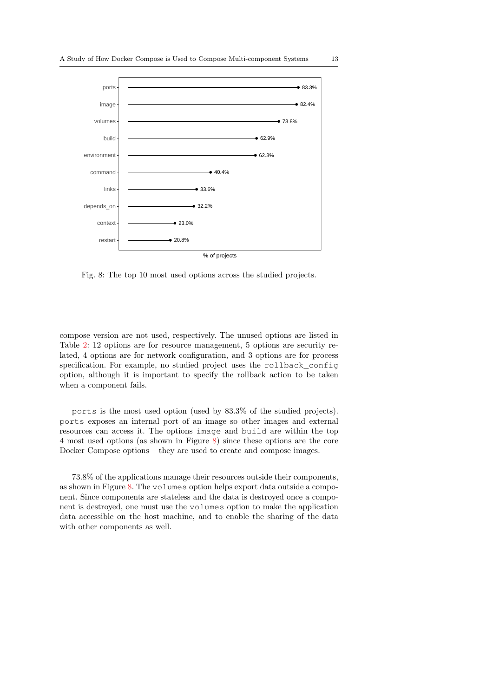<span id="page-12-0"></span>

Fig. 8: The top 10 most used options across the studied projects.

compose version are not used, respectively. The unused options are listed in Table [2:](#page-13-0) 12 options are for resource management, 5 options are security related, 4 options are for network configuration, and 3 options are for process specification. For example, no studied project uses the rollback\_config option, although it is important to specify the rollback action to be taken when a component fails.

ports is the most used option (used by 83.3% of the studied projects). ports exposes an internal port of an image so other images and external resources can access it. The options image and build are within the top 4 most used options (as shown in Figure [8\)](#page-12-0) since these options are the core Docker Compose options – they are used to create and compose images.

73.8% of the applications manage their resources outside their components, as shown in Figure [8.](#page-12-0) The volumes option helps export data outside a component. Since components are stateless and the data is destroyed once a component is destroyed, one must use the volumes option to make the application data accessible on the host machine, and to enable the sharing of the data with other components as well.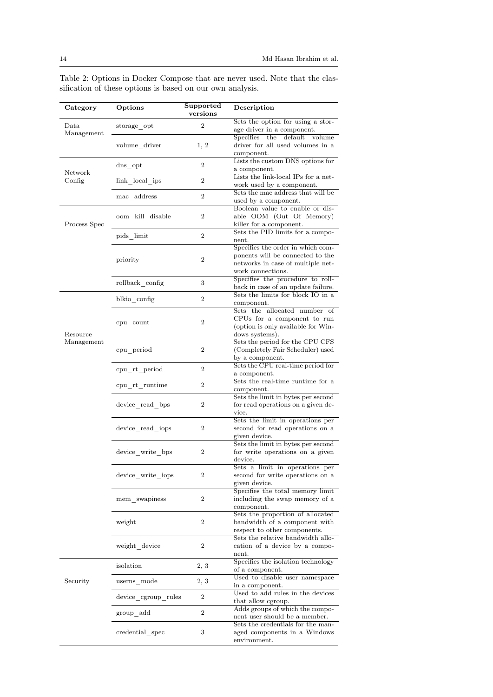| Category               | Options             | Supported<br>versions | Description                                                                                                                     |
|------------------------|---------------------|-----------------------|---------------------------------------------------------------------------------------------------------------------------------|
| $_{\text{Data}}$       | storage opt         | 2                     | Sets the option for using a stor-<br>age driver in a component.                                                                 |
| Management             | volume driver       | 1, 2                  | Specifies the default volume<br>driver for all used volumes in a<br>component.                                                  |
| Network                | dns opt             | 2                     | Lists the custom DNS options for<br>a component.                                                                                |
| Config                 | link local ips      | $\overline{2}$        | Lists the link-local IPs for a net-<br>work used by a component.                                                                |
|                        | mac address         | 2                     | Sets the mac address that will be<br>used by a component.                                                                       |
| Process Spec           | oom kill disable    | 2                     | Boolean value to enable or dis-<br>able OOM (Out Of Memory)<br>killer for a component.                                          |
|                        | pids limit          | $\overline{2}$        | Sets the PID limits for a compo-<br>nent.                                                                                       |
|                        | priority            | $\overline{2}$        | Specifies the order in which com-<br>ponents will be connected to the<br>networks in case of multiple net-<br>work connections. |
|                        | rollback_config     | 3                     | Specifies the procedure to roll-<br>back in case of an update failure.                                                          |
|                        | blkio config        | $\overline{2}$        | Sets the limits for block IO in a<br>component.                                                                                 |
| Resource<br>Management | cpu count           | $\overline{2}$        | Sets the allocated number of<br>CPUs for a component to run<br>(option is only available for Win-<br>dows systems).             |
|                        | cpu period          | $\overline{2}$        | Sets the period for the CPU CFS<br>(Completely Fair Scheduler) used<br>by a component.                                          |
|                        | cpu rt period       | 2                     | Sets the CPU real-time period for<br>a component.                                                                               |
|                        | cpu rt runtime      | 2                     | Sets the real-time runtime for a<br>component.                                                                                  |
|                        | device read bps     | 2                     | Sets the limit in bytes per second<br>for read operations on a given de-<br>vice.                                               |
|                        | device read iops    | 2                     | Sets the limit in operations per<br>second for read operations on a<br>given device.                                            |
|                        | device_write_bps    | $\overline{2}$        | Sets the limit in bytes per second<br>for write operations on a given<br>device.                                                |
|                        | device_write_iops   | 2                     | Sets a limit in operations per<br>second for write operations on a<br>given device.                                             |
|                        | mem swapiness       | 2                     | Specifies the total memory limit<br>including the swap memory of a<br>component.                                                |
|                        | weight              | 2                     | Sets the proportion of allocated<br>bandwidth of a component with<br>respect to other components.                               |
|                        | weight_device       | 2                     | Sets the relative bandwidth allo-<br>cation of a device by a compo-<br>nent.                                                    |
|                        | isolation           | 2, 3                  | Specifies the isolation technology<br>of a component.                                                                           |
| Security               | 2, 3<br>userns mode |                       | Used to disable user namespace<br>in a component.                                                                               |
|                        | device cgroup rules | 2                     | Used to add rules in the devices<br>that allow egroup.                                                                          |
|                        | group add           | $\overline{2}$        | Adds groups of which the compo-<br>nent user should be a member.                                                                |
|                        | credential spec     | 3                     | Sets the credentials for the man-<br>aged components in a Windows<br>environment.                                               |

<span id="page-13-0"></span>Table 2: Options in Docker Compose that are never used. Note that the classification of these options is based on our own analysis.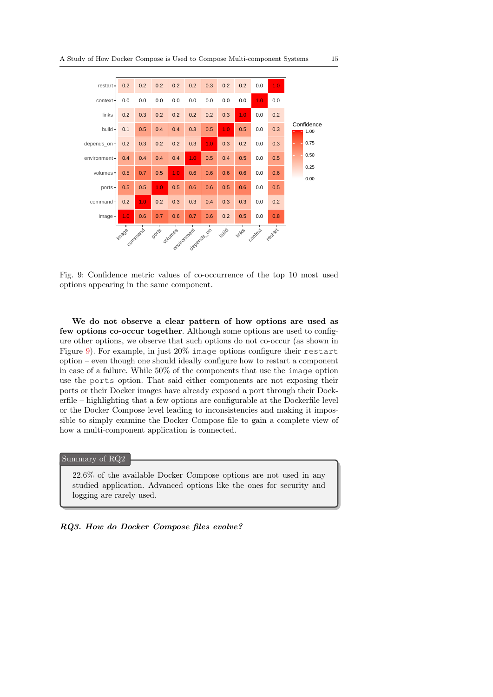<span id="page-14-0"></span>

Fig. 9: Confidence metric values of co-occurrence of the top 10 most used options appearing in the same component.

We do not observe a clear pattern of how options are used as few options co-occur together. Although some options are used to configure other options, we observe that such options do not co-occur (as shown in Figure [9\)](#page-14-0). For example, in just 20% image options configure their restart option – even though one should ideally configure how to restart a component in case of a failure. While 50% of the components that use the image option use the ports option. That said either components are not exposing their ports or their Docker images have already exposed a port through their Dockerfile – highlighting that a few options are configurable at the Dockerfile level or the Docker Compose level leading to inconsistencies and making it impossible to simply examine the Docker Compose file to gain a complete view of how a multi-component application is connected.

#### Summary of RQ2

22.6% of the available Docker Compose options are not used in any studied application. Advanced options like the ones for security and logging are rarely used.

#### RQ3. How do Docker Compose files evolve?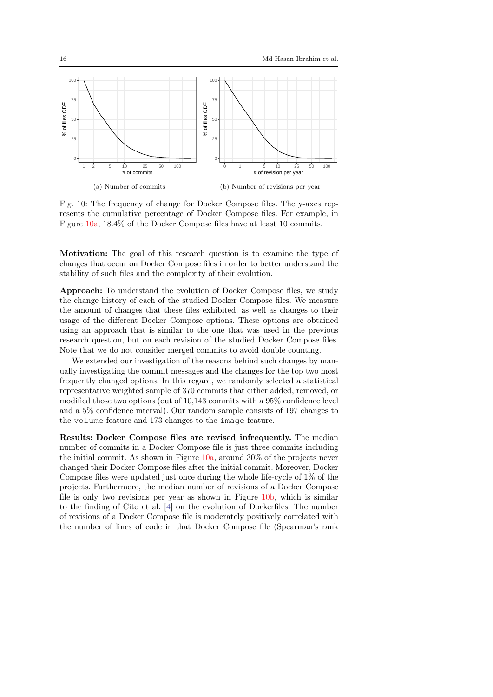<span id="page-15-0"></span>

Fig. 10: The frequency of change for Docker Compose files. The y-axes represents the cumulative percentage of Docker Compose files. For example, in Figure [10a,](#page-15-0) 18.4% of the Docker Compose files have at least 10 commits.

Motivation: The goal of this research question is to examine the type of changes that occur on Docker Compose files in order to better understand the stability of such files and the complexity of their evolution.

Approach: To understand the evolution of Docker Compose files, we study the change history of each of the studied Docker Compose files. We measure the amount of changes that these files exhibited, as well as changes to their usage of the different Docker Compose options. These options are obtained using an approach that is similar to the one that was used in the previous research question, but on each revision of the studied Docker Compose files. Note that we do not consider merged commits to avoid double counting.

We extended our investigation of the reasons behind such changes by manually investigating the commit messages and the changes for the top two most frequently changed options. In this regard, we randomly selected a statistical representative weighted sample of 370 commits that either added, removed, or modified those two options (out of 10,143 commits with a 95% confidence level and a 5% confidence interval). Our random sample consists of 197 changes to the volume feature and 173 changes to the image feature.

Results: Docker Compose files are revised infrequently. The median number of commits in a Docker Compose file is just three commits including the initial commit. As shown in Figure [10a,](#page-15-0) around 30% of the projects never changed their Docker Compose files after the initial commit. Moreover, Docker Compose files were updated just once during the whole life-cycle of 1% of the projects. Furthermore, the median number of revisions of a Docker Compose file is only two revisions per year as shown in Figure [10b,](#page-15-0) which is similar to the finding of Cito et al. [\[4\]](#page-29-4) on the evolution of Dockerfiles. The number of revisions of a Docker Compose file is moderately positively correlated with the number of lines of code in that Docker Compose file (Spearman's rank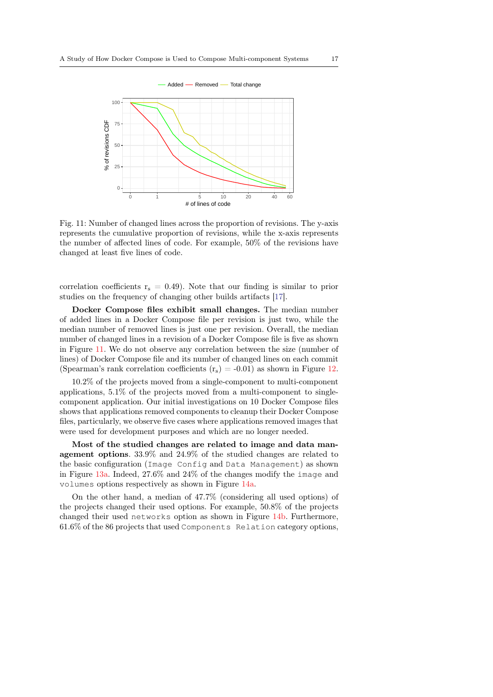<span id="page-16-0"></span>

Fig. 11: Number of changed lines across the proportion of revisions. The y-axis represents the cumulative proportion of revisions, while the x-axis represents the number of affected lines of code. For example, 50% of the revisions have changed at least five lines of code.

correlation coefficients  $r_s = 0.49$ ). Note that our finding is similar to prior studies on the frequency of changing other builds artifacts [\[17\]](#page-29-12).

Docker Compose files exhibit small changes. The median number of added lines in a Docker Compose file per revision is just two, while the median number of removed lines is just one per revision. Overall, the median number of changed lines in a revision of a Docker Compose file is five as shown in Figure [11.](#page-16-0) We do not observe any correlation between the size (number of lines) of Docker Compose file and its number of changed lines on each commit (Spearman's rank correlation coefficients  $(r_s) = -0.01$ ) as shown in Figure [12.](#page-17-0)

10.2% of the projects moved from a single-component to multi-component applications, 5.1% of the projects moved from a multi-component to singlecomponent application. Our initial investigations on 10 Docker Compose files shows that applications removed components to cleanup their Docker Compose files, particularly, we observe five cases where applications removed images that were used for development purposes and which are no longer needed.

Most of the studied changes are related to image and data management options. 33.9% and 24.9% of the studied changes are related to the basic configuration (Image Config and Data Management) as shown in Figure [13a.](#page-18-0) Indeed, 27.6% and 24% of the changes modify the image and volumes options respectively as shown in Figure [14a.](#page-19-0)

On the other hand, a median of 47.7% (considering all used options) of the projects changed their used options. For example, 50.8% of the projects changed their used networks option as shown in Figure [14b.](#page-19-0) Furthermore, 61.6% of the 86 projects that used Components Relation category options,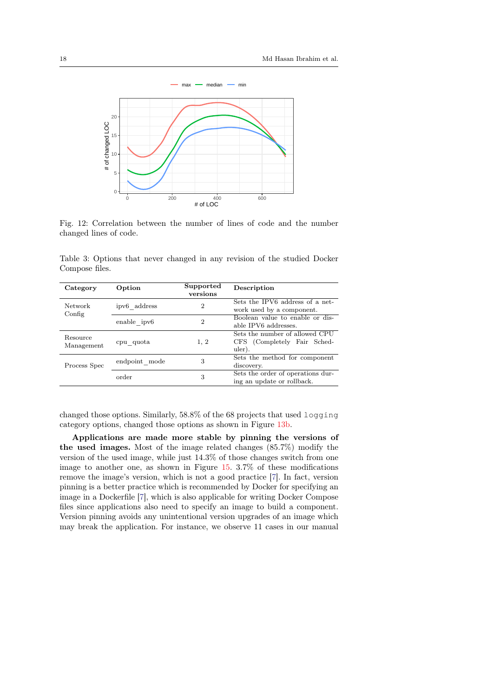<span id="page-17-0"></span>

Fig. 12: Correlation between the number of lines of code and the number changed lines of code.

Table 3: Options that never changed in any revision of the studied Docker Compose files.

| Category               | Option                  | Supported<br>versions                                                          | Description                                                             |  |
|------------------------|-------------------------|--------------------------------------------------------------------------------|-------------------------------------------------------------------------|--|
| Network<br>Config      | ipv6 address            | Sets the IPV6 address of a net-<br>$\overline{2}$<br>work used by a component. |                                                                         |  |
|                        | enable ipv <sub>6</sub> | $\overline{2}$                                                                 | Boolean value to enable or dis-<br>able IPV6 addresses.                 |  |
| Resource<br>Management | cpu quota               | 1, 2                                                                           | Sets the number of allowed CPU<br>CFS (Completely Fair Sched-<br>uler). |  |
| Process Spec           | endpoint mode           | 3                                                                              | Sets the method for component<br>discovery.                             |  |
|                        | order                   | 3                                                                              | Sets the order of operations dur-<br>ing an update or rollback.         |  |

changed those options. Similarly, 58.8% of the 68 projects that used logging category options, changed those options as shown in Figure [13b.](#page-18-0)

Applications are made more stable by pinning the versions of the used images. Most of the image related changes (85.7%) modify the version of the used image, while just 14.3% of those changes switch from one image to another one, as shown in Figure [15.](#page-20-0) 3.7% of these modifications remove the image's version, which is not a good practice [\[7\]](#page-29-13). In fact, version pinning is a better practice which is recommended by Docker for specifying an image in a Dockerfile [\[7\]](#page-29-13), which is also applicable for writing Docker Compose files since applications also need to specify an image to build a component. Version pinning avoids any unintentional version upgrades of an image which may break the application. For instance, we observe 11 cases in our manual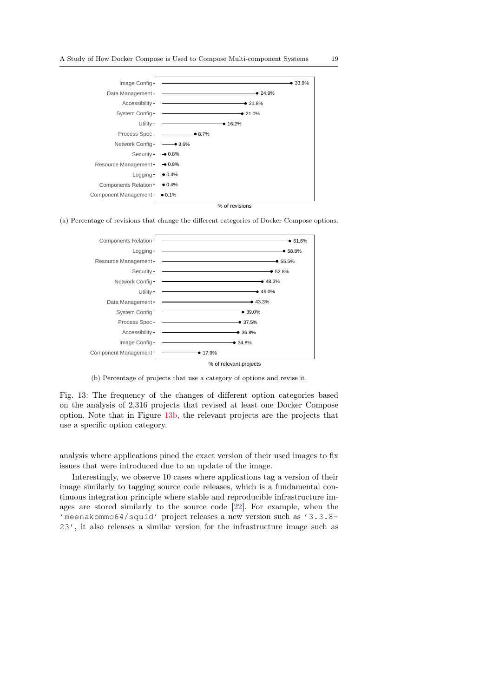<span id="page-18-0"></span>

(a) Percentage of revisions that change the different categories of Docker Compose options.



(b) Percentage of projects that use a category of options and revise it.

Fig. 13: The frequency of the changes of different option categories based on the analysis of 2,316 projects that revised at least one Docker Compose option. Note that in Figure [13b,](#page-18-0) the relevant projects are the projects that use a specific option category.

analysis where applications pined the exact version of their used images to fix issues that were introduced due to an update of the image.

Interestingly, we observe 10 cases where applications tag a version of their image similarly to tagging source code releases, which is a fundamental continuous integration principle where stable and reproducible infrastructure images are stored similarly to the source code [\[22\]](#page-30-8). For example, when the 'meenakommo64/squid' project releases a new version such as '3.3.8- 23', it also releases a similar version for the infrastructure image such as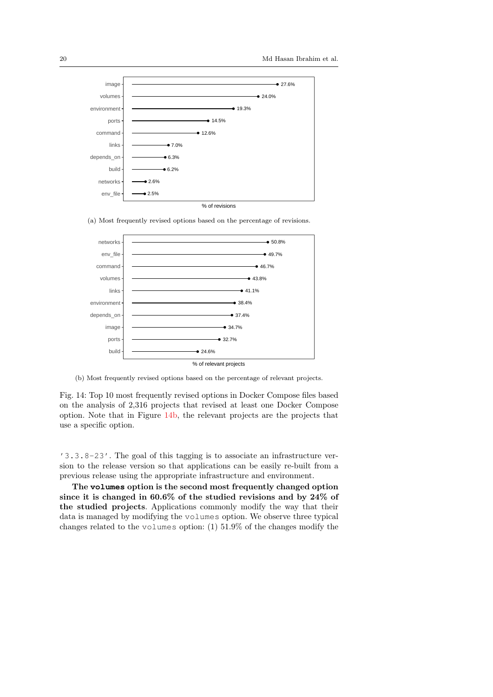<span id="page-19-0"></span>

(a) Most frequently revised options based on the percentage of revisions.



(b) Most frequently revised options based on the percentage of relevant projects.

Fig. 14: Top 10 most frequently revised options in Docker Compose files based on the analysis of 2,316 projects that revised at least one Docker Compose option. Note that in Figure [14b,](#page-19-0) the relevant projects are the projects that use a specific option.

'3.3.8-23'. The goal of this tagging is to associate an infrastructure version to the release version so that applications can be easily re-built from a previous release using the appropriate infrastructure and environment.

The **volumes** option is the second most frequently changed option since it is changed in 60.6% of the studied revisions and by 24% of the studied projects. Applications commonly modify the way that their data is managed by modifying the volumes option. We observe three typical changes related to the volumes option: (1) 51.9% of the changes modify the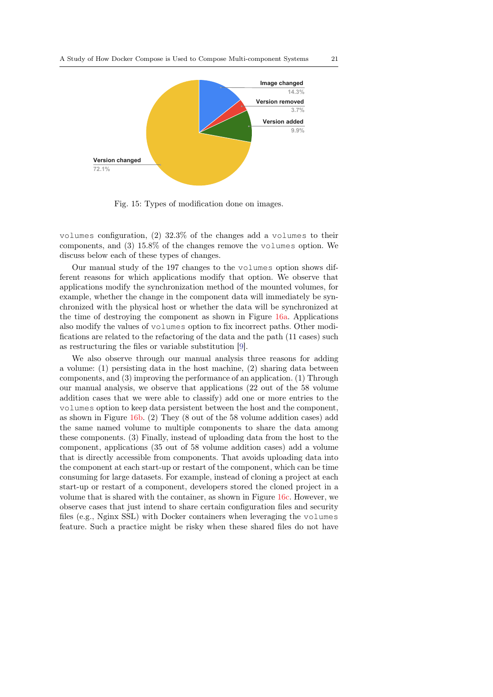<span id="page-20-0"></span>

Fig. 15: Types of modification done on images.

volumes configuration, (2) 32.3% of the changes add a volumes to their components, and (3) 15.8% of the changes remove the volumes option. We discuss below each of these types of changes.

Our manual study of the 197 changes to the volumes option shows different reasons for which applications modify that option. We observe that applications modify the synchronization method of the mounted volumes, for example, whether the change in the component data will immediately be synchronized with the physical host or whether the data will be synchronized at the time of destroying the component as shown in Figure [16a.](#page-21-0) Applications also modify the values of volumes option to fix incorrect paths. Other modifications are related to the refactoring of the data and the path (11 cases) such as restructuring the files or variable substitution [\[9\]](#page-29-14).

We also observe through our manual analysis three reasons for adding a volume: (1) persisting data in the host machine, (2) sharing data between components, and (3) improving the performance of an application. (1) Through our manual analysis, we observe that applications (22 out of the 58 volume addition cases that we were able to classify) add one or more entries to the volumes option to keep data persistent between the host and the component, as shown in Figure [16b.](#page-21-0) (2) They (8 out of the 58 volume addition cases) add the same named volume to multiple components to share the data among these components. (3) Finally, instead of uploading data from the host to the component, applications (35 out of 58 volume addition cases) add a volume that is directly accessible from components. That avoids uploading data into the component at each start-up or restart of the component, which can be time consuming for large datasets. For example, instead of cloning a project at each start-up or restart of a component, developers stored the cloned project in a volume that is shared with the container, as shown in Figure [16c.](#page-21-0) However, we observe cases that just intend to share certain configuration files and security files (e.g., Nginx SSL) with Docker containers when leveraging the volumes feature. Such a practice might be risky when these shared files do not have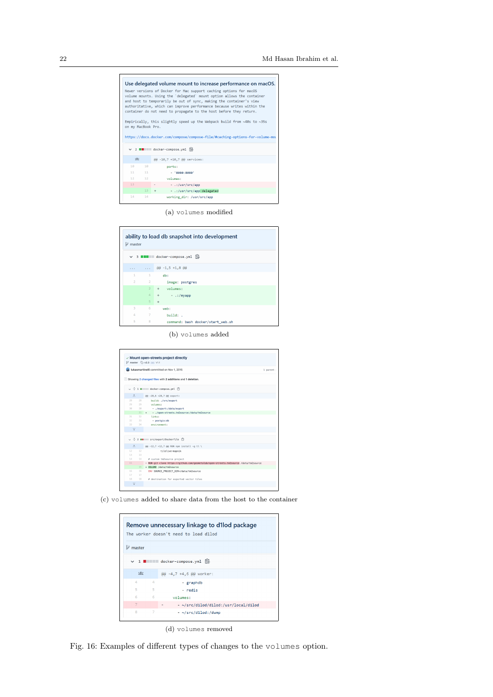<span id="page-21-0"></span>

(a) volumes modified

|                | $$^{\circ}$$ master |                                   |
|----------------|---------------------|-----------------------------------|
|                |                     | ▽ 3 ■■■■■ docker-compose.yml 图    |
| $\cdots$       |                     | $\ldots$ @ $-1,5$ +1,8 @ @        |
| $\mathbf{1}$   |                     | $1$ db:                           |
|                | $2 \qquad \qquad 2$ | image: postgres                   |
|                | $\overline{3}$      | + volumes:                        |
|                | $\overline{4}$      | + - .:/myapp                      |
|                | 5 <sup>1</sup>      | $+$                               |
| $\overline{3}$ | 6                   | web:                              |
| $\Delta$       | 7                   | build: .                          |
| 5              | 8                   | command: bash docker/start web.sh |

(b) volumes added

|                 |        | $\vee$ Mount open-streets project directly<br>1 <sup>2</sup> master ⊙ v2.3 ··· V1.1  |          |
|-----------------|--------|--------------------------------------------------------------------------------------|----------|
|                 |        | Li lukasmartinelli committed on Nov 1, 2015                                          | 1 parent |
|                 |        | Showing 2 changed files with 2 additions and 1 deletion.                             |          |
|                 |        | ↓ ÷ 1 ■■■■ docker-compose.yml □                                                      |          |
| 土               |        | @@ -28,6 +28,7 @@ export:                                                            |          |
| 28              | 28     | build: ./src/export                                                                  |          |
| 29              | 29     | volument                                                                             |          |
| 3.01            | 30     | - ./export:/data/export                                                              |          |
|                 |        | 31 + -./open-streets.tm2source:/data/tm2source                                       |          |
| $31 -$          | 32     | links:                                                                               |          |
| 32              | 33     | $-$ postais:db                                                                       |          |
| 33              | 34     | environment:                                                                         |          |
| $\mathbf{T}$    |        |                                                                                      |          |
|                 |        | ↓ ÷ 2 mm == src/export/Dockerfile ["]                                                |          |
| $\pm$           |        | @@ -12,7 +12,7 @@ RUN npm install -g tl \                                            |          |
| 12              | 12     | tilelive-mapnik                                                                      |          |
| 13              | 13     |                                                                                      |          |
| 14              | 14     | # custom tm2source project                                                           |          |
| 15 <sub>1</sub> |        | - RUN git clone https://github.com/geometalab/open-streets.tm2source /data/tm2source |          |
|                 | $15 -$ | + VOLUME /data/tm2source                                                             |          |
| 16              | 16     | ENV SOURCE_PROJECT_DIR=/data/tm2source                                               |          |
|                 | 17     |                                                                                      |          |
| 17              |        |                                                                                      |          |

(c) volumes added to share data from the host to the container

|                      | Remove unnecessary linkage to d1lod package<br>The worker doesn't need to load d1lod |                                                        |  |  |
|----------------------|--------------------------------------------------------------------------------------|--------------------------------------------------------|--|--|
| $\mathcal{V}$ master |                                                                                      |                                                        |  |  |
|                      |                                                                                      | $\vee$ 1 $\blacksquare$ docker-compose.vml $\boxtimes$ |  |  |
| 述え                   |                                                                                      | @@ -4,7 +4,6 @@ worker:                                |  |  |
| Δ                    | Δ                                                                                    | - graphdb                                              |  |  |
| 5                    | 5                                                                                    | - redis                                                |  |  |
| 6                    | 6                                                                                    | volumes:                                               |  |  |
| $\overline{7}$       |                                                                                      | - ~/src/d1lod/d1lod:/usr/local/d1lod                   |  |  |
| 8                    | 7                                                                                    | $-$ ~/src/d1lod:/dump                                  |  |  |

(d) volumes removed

Fig. 16: Examples of different types of changes to the volumes option.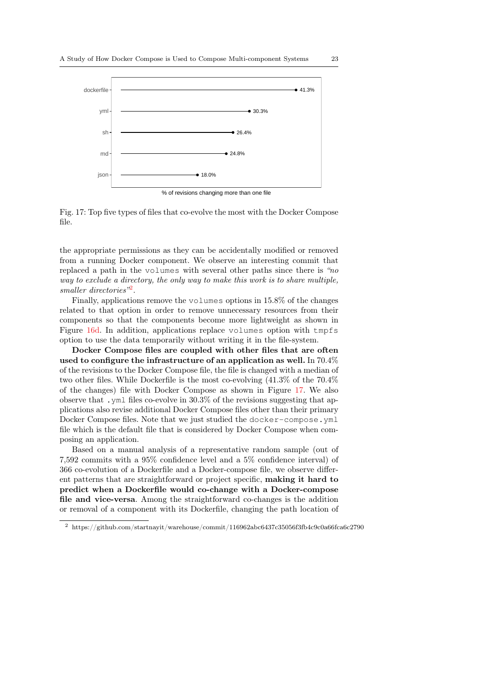<span id="page-22-1"></span>

Fig. 17: Top five types of files that co-evolve the most with the Docker Compose file.

the appropriate permissions as they can be accidentally modified or removed from a running Docker component. We observe an interesting commit that replaced a path in the volumes with several other paths since there is "no way to exclude a directory, the only way to make this work is to share multiple, smaller directories"<sup>[2](#page-22-0)</sup>.

Finally, applications remove the volumes options in 15.8% of the changes related to that option in order to remove unnecessary resources from their components so that the components become more lightweight as shown in Figure [16d.](#page-21-0) In addition, applications replace volumes option with tmpfs option to use the data temporarily without writing it in the file-system.

Docker Compose files are coupled with other files that are often used to configure the infrastructure of an application as well. In 70.4% of the revisions to the Docker Compose file, the file is changed with a median of two other files. While Dockerfile is the most co-evolving (41.3% of the 70.4% of the changes) file with Docker Compose as shown in Figure [17.](#page-22-1) We also observe that .yml files co-evolve in 30.3% of the revisions suggesting that applications also revise additional Docker Compose files other than their primary Docker Compose files. Note that we just studied the docker-compose.yml file which is the default file that is considered by Docker Compose when composing an application.

Based on a manual analysis of a representative random sample (out of 7,592 commits with a 95% confidence level and a 5% confidence interval) of 366 co-evolution of a Dockerfile and a Docker-compose file, we observe different patterns that are straightforward or project specific, making it hard to predict when a Dockerfile would co-change with a Docker-compose file and vice-versa. Among the straightforward co-changes is the addition or removal of a component with its Dockerfile, changing the path location of

<span id="page-22-0"></span> $2$  https://github.com/startnayit/warehouse/commit/116962abc6437c35056f3fb4c9c0a66fca6c2790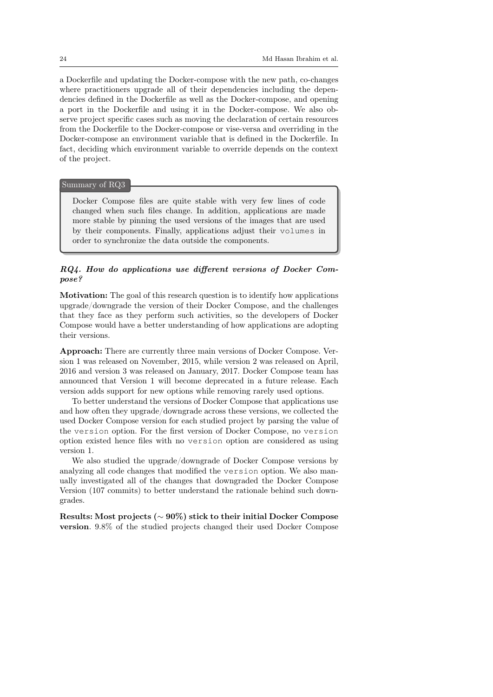a Dockerfile and updating the Docker-compose with the new path, co-changes where practitioners upgrade all of their dependencies including the dependencies defined in the Dockerfile as well as the Docker-compose, and opening a port in the Dockerfile and using it in the Docker-compose. We also observe project specific cases such as moving the declaration of certain resources from the Dockerfile to the Docker-compose or vise-versa and overriding in the Docker-compose an environment variable that is defined in the Dockerfile. In fact, deciding which environment variable to override depends on the context of the project.

## : Summary of RQ3

Docker Compose files are quite stable with very few lines of code changed when such files change. In addition, applications are made more stable by pinning the used versions of the images that are used by their components. Finally, applications adjust their volumes in order to synchronize the data outside the components.

# RQ4. How do applications use different versions of Docker Compose?

Motivation: The goal of this research question is to identify how applications upgrade/downgrade the version of their Docker Compose, and the challenges that they face as they perform such activities, so the developers of Docker Compose would have a better understanding of how applications are adopting their versions.

Approach: There are currently three main versions of Docker Compose. Version 1 was released on November, 2015, while version 2 was released on April, 2016 and version 3 was released on January, 2017. Docker Compose team has announced that Version 1 will become deprecated in a future release. Each version adds support for new options while removing rarely used options.

To better understand the versions of Docker Compose that applications use and how often they upgrade/downgrade across these versions, we collected the used Docker Compose version for each studied project by parsing the value of the version option. For the first version of Docker Compose, no version option existed hence files with no version option are considered as using version 1.

We also studied the upgrade/downgrade of Docker Compose versions by analyzing all code changes that modified the version option. We also manually investigated all of the changes that downgraded the Docker Compose Version (107 commits) to better understand the rationale behind such downgrades.

Results: Most projects (∼ 90%) stick to their initial Docker Compose version. 9.8% of the studied projects changed their used Docker Compose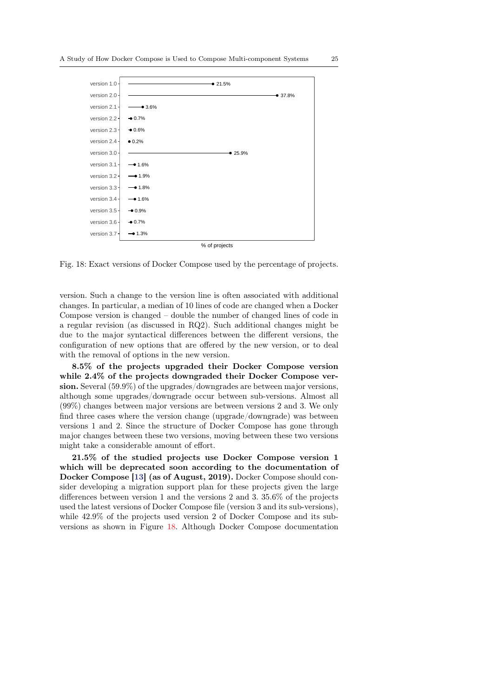<span id="page-24-0"></span>

Fig. 18: Exact versions of Docker Compose used by the percentage of projects.

version. Such a change to the version line is often associated with additional changes. In particular, a median of 10 lines of code are changed when a Docker Compose version is changed – double the number of changed lines of code in a regular revision (as discussed in RQ2). Such additional changes might be due to the major syntactical differences between the different versions, the configuration of new options that are offered by the new version, or to deal with the removal of options in the new version.

8.5% of the projects upgraded their Docker Compose version while 2.4% of the projects downgraded their Docker Compose version. Several (59.9%) of the upgrades/downgrades are between major versions, although some upgrades/downgrade occur between sub-versions. Almost all (99%) changes between major versions are between versions 2 and 3. We only find three cases where the version change (upgrade/downgrade) was between versions 1 and 2. Since the structure of Docker Compose has gone through major changes between these two versions, moving between these two versions might take a considerable amount of effort.

21.5% of the studied projects use Docker Compose version 1 which will be deprecated soon according to the documentation of Docker Compose [\[13\]](#page-29-15) (as of August, 2019). Docker Compose should consider developing a migration support plan for these projects given the large differences between version 1 and the versions 2 and 3. 35.6% of the projects used the latest versions of Docker Compose file (version 3 and its sub-versions), while 42.9% of the projects used version 2 of Docker Compose and its subversions as shown in Figure [18.](#page-24-0) Although Docker Compose documentation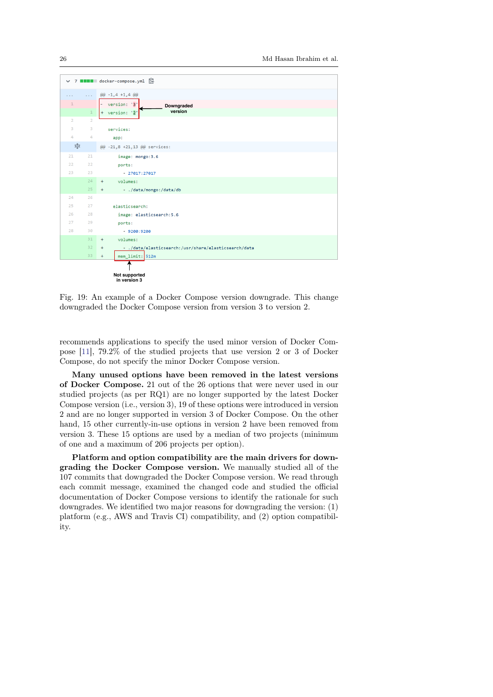<span id="page-25-0"></span>

Fig. 19: An example of a Docker Compose version downgrade. This change downgraded the Docker Compose version from version 3 to version 2.

recommends applications to specify the used minor version of Docker Compose [\[11\]](#page-29-16), 79.2% of the studied projects that use version 2 or 3 of Docker Compose, do not specify the minor Docker Compose version.

Many unused options have been removed in the latest versions of Docker Compose. 21 out of the 26 options that were never used in our studied projects (as per RQ1) are no longer supported by the latest Docker Compose version (i.e., version 3), 19 of these options were introduced in version 2 and are no longer supported in version 3 of Docker Compose. On the other hand, 15 other currently-in-use options in version 2 have been removed from version 3. These 15 options are used by a median of two projects (minimum of one and a maximum of 206 projects per option).

Platform and option compatibility are the main drivers for downgrading the Docker Compose version. We manually studied all of the 107 commits that downgraded the Docker Compose version. We read through each commit message, examined the changed code and studied the official documentation of Docker Compose versions to identify the rationale for such downgrades. We identified two major reasons for downgrading the version: (1) platform (e.g., AWS and Travis CI) compatibility, and (2) option compatibility.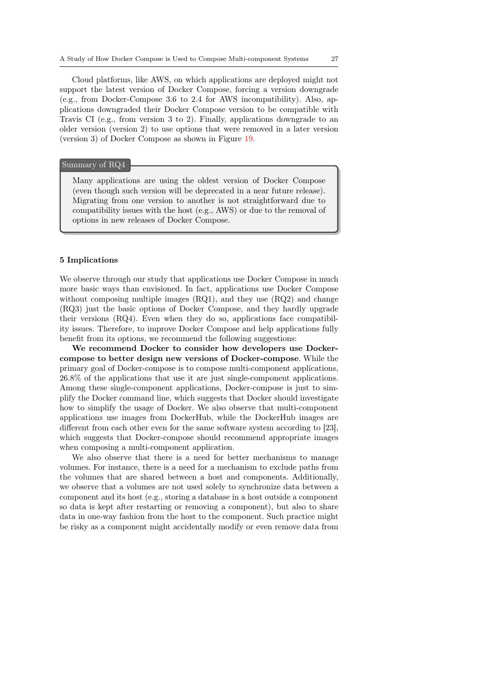Cloud platforms, like AWS, on which applications are deployed might not support the latest version of Docker Compose, forcing a version downgrade (e.g., from Docker-Compose 3.6 to 2.4 for AWS incompatibility). Also, applications downgraded their Docker Compose version to be compatible with Travis CI (e.g., from version 3 to 2). Finally, applications downgrade to an older version (version 2) to use options that were removed in a later version (version 3) of Docker Compose as shown in Figure [19.](#page-25-0)

#### : Summary of RQ4

Many applications are using the oldest version of Docker Compose (even though such version will be deprecated in a near future release). Migrating from one version to another is not straightforward due to compatibility issues with the host (e.g., AWS) or due to the removal of options in new releases of Docker Compose.

## 5 Implications

We observe through our study that applications use Docker Compose in much more basic ways than envisioned. In fact, applications use Docker Compose without composing multiple images (RQ1), and they use (RQ2) and change (RQ3) just the basic options of Docker Compose, and they hardly upgrade their versions (RQ4). Even when they do so, applications face compatibility issues. Therefore, to improve Docker Compose and help applications fully benefit from its options, we recommend the following suggestions:

We recommend Docker to consider how developers use Dockercompose to better design new versions of Docker-compose. While the primary goal of Docker-compose is to compose multi-component applications, 26.8% of the applications that use it are just single-component applications. Among these single-component applications, Docker-compose is just to simplify the Docker command line, which suggests that Docker should investigate how to simplify the usage of Docker. We also observe that multi-component applications use images from DockerHub, while the DockerHub images are different from each other even for the same software system according to [23], which suggests that Docker-compose should recommend appropriate images when composing a multi-component application.

We also observe that there is a need for better mechanisms to manage volumes. For instance, there is a need for a mechanism to exclude paths from the volumes that are shared between a host and components. Additionally, we observe that a volumes are not used solely to synchronize data between a component and its host (e.g., storing a database in a host outside a component so data is kept after restarting or removing a component), but also to share data in one-way fashion from the host to the component. Such practice might be risky as a component might accidentally modify or even remove data from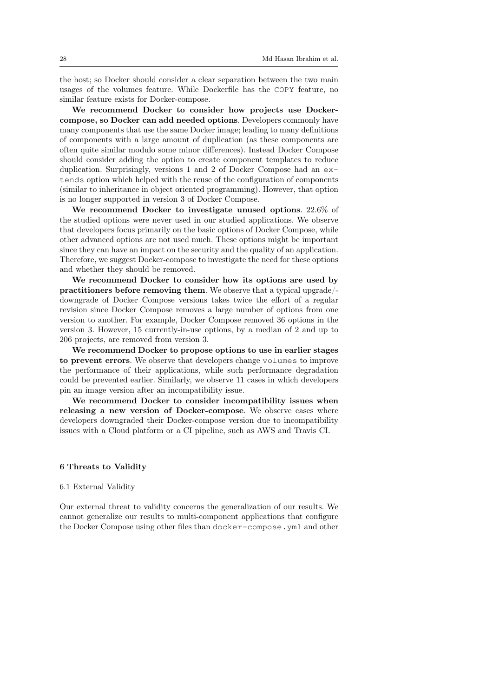the host; so Docker should consider a clear separation between the two main usages of the volumes feature. While Dockerfile has the COPY feature, no similar feature exists for Docker-compose.

We recommend Docker to consider how projects use Dockercompose, so Docker can add needed options. Developers commonly have many components that use the same Docker image; leading to many definitions of components with a large amount of duplication (as these components are often quite similar modulo some minor differences). Instead Docker Compose should consider adding the option to create component templates to reduce duplication. Surprisingly, versions 1 and 2 of Docker Compose had an extends option which helped with the reuse of the configuration of components (similar to inheritance in object oriented programming). However, that option is no longer supported in version 3 of Docker Compose.

We recommend Docker to investigate unused options. 22.6% of the studied options were never used in our studied applications. We observe that developers focus primarily on the basic options of Docker Compose, while other advanced options are not used much. These options might be important since they can have an impact on the security and the quality of an application. Therefore, we suggest Docker-compose to investigate the need for these options and whether they should be removed.

We recommend Docker to consider how its options are used by practitioners before removing them. We observe that a typical upgrade/ downgrade of Docker Compose versions takes twice the effort of a regular revision since Docker Compose removes a large number of options from one version to another. For example, Docker Compose removed 36 options in the version 3. However, 15 currently-in-use options, by a median of 2 and up to 206 projects, are removed from version 3.

We recommend Docker to propose options to use in earlier stages to prevent errors. We observe that developers change volumes to improve the performance of their applications, while such performance degradation could be prevented earlier. Similarly, we observe 11 cases in which developers pin an image version after an incompatibility issue.

We recommend Docker to consider incompatibility issues when releasing a new version of Docker-compose. We observe cases where developers downgraded their Docker-compose version due to incompatibility issues with a Cloud platform or a CI pipeline, such as AWS and Travis CI.

#### <span id="page-27-0"></span>6 Threats to Validity

#### 6.1 External Validity

Our external threat to validity concerns the generalization of our results. We cannot generalize our results to multi-component applications that configure the Docker Compose using other files than docker-compose.yml and other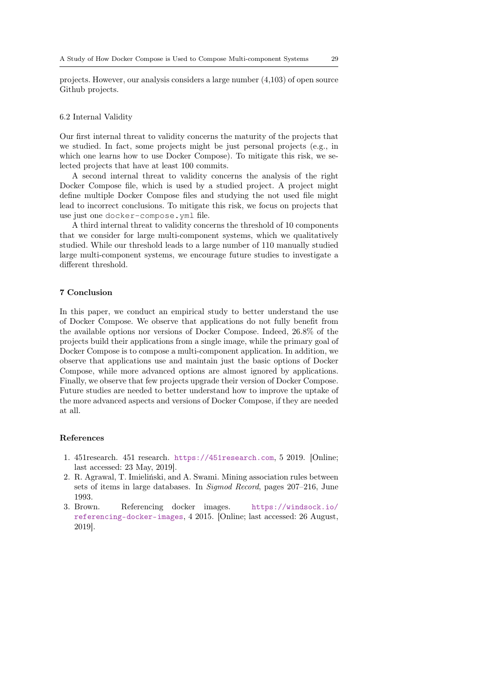projects. However, our analysis considers a large number (4,103) of open source Github projects.

#### 6.2 Internal Validity

Our first internal threat to validity concerns the maturity of the projects that we studied. In fact, some projects might be just personal projects (e.g., in which one learns how to use Docker Compose). To mitigate this risk, we selected projects that have at least 100 commits.

A second internal threat to validity concerns the analysis of the right Docker Compose file, which is used by a studied project. A project might define multiple Docker Compose files and studying the not used file might lead to incorrect conclusions. To mitigate this risk, we focus on projects that use just one docker-compose.yml file.

A third internal threat to validity concerns the threshold of 10 components that we consider for large multi-component systems, which we qualitatively studied. While our threshold leads to a large number of 110 manually studied large multi-component systems, we encourage future studies to investigate a different threshold.

## <span id="page-28-1"></span>7 Conclusion

In this paper, we conduct an empirical study to better understand the use of Docker Compose. We observe that applications do not fully benefit from the available options nor versions of Docker Compose. Indeed, 26.8% of the projects build their applications from a single image, while the primary goal of Docker Compose is to compose a multi-component application. In addition, we observe that applications use and maintain just the basic options of Docker Compose, while more advanced options are almost ignored by applications. Finally, we observe that few projects upgrade their version of Docker Compose. Future studies are needed to better understand how to improve the uptake of the more advanced aspects and versions of Docker Compose, if they are needed at all.

## References

- <span id="page-28-0"></span>1. 451research. 451 research. <https://451research.com>, 5 2019. [Online; last accessed: 23 May, 2019].
- <span id="page-28-3"></span>2. R. Agrawal, T. Imieliński, and A. Swami. Mining association rules between sets of items in large databases. In Sigmod Record, pages 207–216, June 1993.
- <span id="page-28-2"></span>3. Brown. Referencing docker images. [https://windsock.io/](https://windsock.io/referencing-docker-images) [referencing-docker-images](https://windsock.io/referencing-docker-images), 4 2015. [Online; last accessed: 26 August, 2019].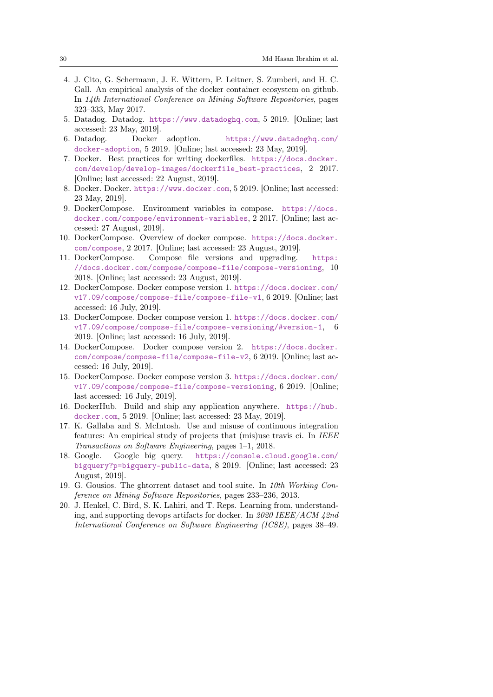- <span id="page-29-4"></span>4. J. Cito, G. Schermann, J. E. Wittern, P. Leitner, S. Zumberi, and H. C. Gall. An empirical analysis of the docker container ecosystem on github. In 14th International Conference on Mining Software Repositories, pages 323–333, May 2017.
- <span id="page-29-1"></span>5. Datadog. Datadog. <https://www.datadoghq.com>, 5 2019. [Online; last accessed: 23 May, 2019].
- <span id="page-29-2"></span>6. Datadog. Docker adoption. [https://www.datadoghq.com/](https://www.datadoghq.com/docker-adoption) [docker-adoption](https://www.datadoghq.com/docker-adoption), 5 2019. [Online; last accessed: 23 May, 2019].
- <span id="page-29-13"></span>7. Docker. Best practices for writing dockerfiles. [https://docs.docker.](https://docs.docker.com/develop/develop-images/dockerfile_best-practices) [com/develop/develop-images/dockerfile\\_best-practices](https://docs.docker.com/develop/develop-images/dockerfile_best-practices), 2 2017. [Online; last accessed: 22 August, 2019].
- <span id="page-29-0"></span>8. Docker. Docker. <https://www.docker.com>, 5 2019. [Online; last accessed: 23 May, 2019].
- <span id="page-29-14"></span>9. DockerCompose. Environment variables in compose. [https://docs.](https://docs.docker.com/compose/environment-variables) [docker.com/compose/environment-variables](https://docs.docker.com/compose/environment-variables), 2 2017. [Online; last accessed: 27 August, 2019].
- <span id="page-29-3"></span>10. DockerCompose. Overview of docker compose. [https://docs.docker.](https://docs.docker.com/compose) [com/compose](https://docs.docker.com/compose), 2 2017. [Online; last accessed: 23 August, 2019].
- <span id="page-29-16"></span>11. DockerCompose. Compose file versions and upgrading. [https:](https://docs.docker.com/compose/compose-file/compose-versioning) [//docs.docker.com/compose/compose-file/compose-versioning](https://docs.docker.com/compose/compose-file/compose-versioning), 10 2018. [Online; last accessed: 23 August, 2019].
- <span id="page-29-9"></span>12. DockerCompose. Docker compose version 1. [https://docs.docker.com/](https://docs.docker.com/v17.09/compose/compose-file/compose-file-v1) [v17.09/compose/compose-file/compose-file-v1](https://docs.docker.com/v17.09/compose/compose-file/compose-file-v1), 6 2019. [Online; last accessed: 16 July, 2019].
- <span id="page-29-15"></span>13. DockerCompose. Docker compose version 1. [https://docs.docker.com/](https://docs.docker.com/v17.09/compose/compose-file/compose-versioning/#version-1) [v17.09/compose/compose-file/compose-versioning/#version-1](https://docs.docker.com/v17.09/compose/compose-file/compose-versioning/#version-1), 6 2019. [Online; last accessed: 16 July, 2019].
- <span id="page-29-10"></span>14. DockerCompose. Docker compose version 2. [https://docs.docker.](https://docs.docker.com/compose/compose-file/compose-file-v2) [com/compose/compose-file/compose-file-v2](https://docs.docker.com/compose/compose-file/compose-file-v2), 6 2019. [Online; last accessed: 16 July, 2019].
- <span id="page-29-11"></span>15. DockerCompose. Docker compose version 3. [https://docs.docker.com/](https://docs.docker.com/v17.09/compose/compose-file/compose-versioning) [v17.09/compose/compose-file/compose-versioning](https://docs.docker.com/v17.09/compose/compose-file/compose-versioning), 6 2019. [Online; last accessed: 16 July, 2019].
- <span id="page-29-5"></span>16. DockerHub. Build and ship any application anywhere. [https://hub.](https://hub.docker.com) [docker.com](https://hub.docker.com), 5 2019. [Online; last accessed: 23 May, 2019].
- <span id="page-29-12"></span>17. K. Gallaba and S. McIntosh. Use and misuse of continuous integration features: An empirical study of projects that (mis)use travis ci. In IEEE Transactions on Software Engineering, pages 1–1, 2018.
- <span id="page-29-7"></span>18. Google. Google big query. [https://console.cloud.google.com/](https://console.cloud.google.com/bigquery?p=bigquery-public-data) [bigquery?p=bigquery-public-data](https://console.cloud.google.com/bigquery?p=bigquery-public-data), 8 2019. [Online; last accessed: 23 August, 2019].
- <span id="page-29-8"></span>19. G. Gousios. The ghtorrent dataset and tool suite. In 10th Working Conference on Mining Software Repositories, pages 233–236, 2013.
- <span id="page-29-6"></span>20. J. Henkel, C. Bird, S. K. Lahiri, and T. Reps. Learning from, understanding, and supporting devops artifacts for docker. In 2020 IEEE/ACM 42nd International Conference on Software Engineering (ICSE), pages 38–49.